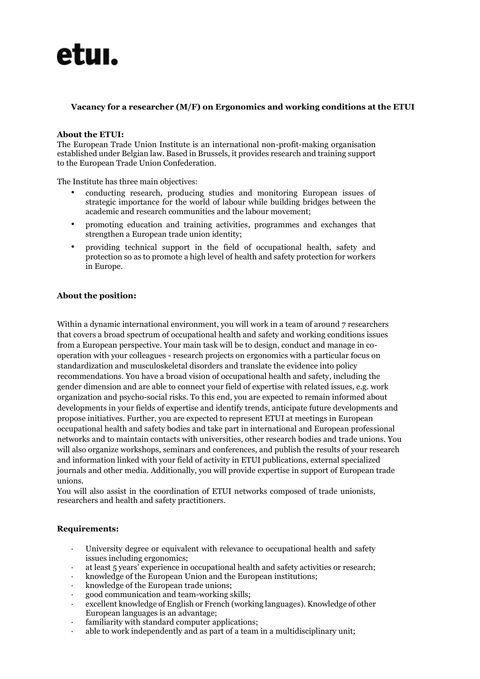

# **Vacancy for a researcher (M/F) on Ergonomics and working conditions at the ETUI**

### **About the ETUI:**

The European Trade Union Institute is an international non-profit-making organisation established under Belgian law. Based in Brussels, it provides research and training support to the European Trade Union Confederation.

The Institute has three main objectives:

- conducting research, producing studies and monitoring European issues of strategic importance for the world of labour while building bridges between the academic and research communities and the labour movement;
- promoting education and training activities, programmes and exchanges that strengthen a European trade union identity;
- providing technical support in the field of occupational health, safety and protection so as to promote a high level of health and safety protection for workers in Europe.

# **About the position:**

Within a dynamic international environment, you will work in a team of around 7 researchers that covers a broad spectrum of occupational health and safety and working conditions issues from a European perspective. Your main task will be to design, conduct and manage in cooperation with your colleagues - research projects on ergonomics with a particular focus on standardization and musculoskeletal disorders and translate the evidence into policy recommendations. You have a broad vision of occupational health and safety, including the gender dimension and are able to connect your field of expertise with related issues, e.g. work organization and psycho-social risks. To this end, you are expected to remain informed about developments in your fields of expertise and identify trends, anticipate future developments and propose initiatives. Further, you are expected to represent ETUI at meetings in European occupational health and safety bodies and take part in international and European professional networks and to maintain contacts with universities, other research bodies and trade unions. You will also organize workshops, seminars and conferences, and publish the results of your research and information linked with your field of activity in ETUI publications, external specialized journals and other media. Additionally, you will provide expertise in support of European trade unions.

You will also assist in the coordination of ETUI networks composed of trade unionists, researchers and health and safety practitioners.

#### **Requirements:**

- University degree or equivalent with relevance to occupational health and safety issues including ergonomics;
- at least 5 years' experience in occupational health and safety activities or research;
- knowledge of the European Union and the European institutions;
- knowledge of the European trade unions;
- · good communication and team-working skills;
- excellent knowledge of English or French (working languages). Knowledge of other European languages is an advantage;
- · familiarity with standard computer applications;
- able to work independently and as part of a team in a multidisciplinary unit;